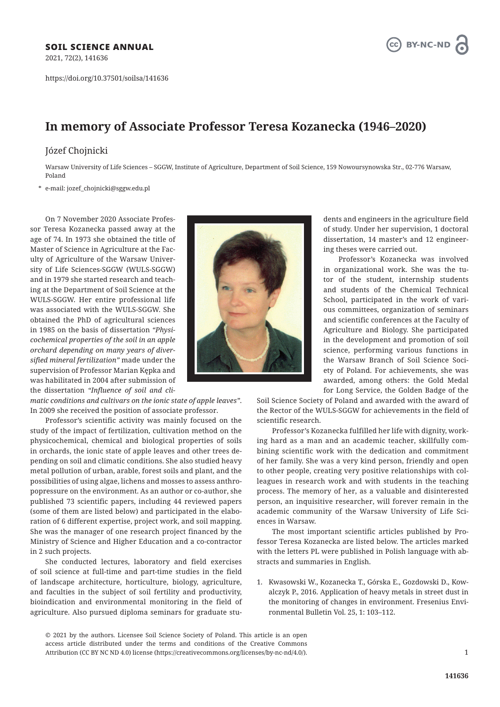2021, 72(2), 141636

https://doi.org/10.37501/soilsa/141636



## **In memory of Associate Professor Teresa Kozanecka (1946–2020)**

## Józef Chojnicki

Warsaw University of Life Sciences – SGGW, Institute of Agriculture, Department of Soil Science, 159 Nowoursynowska Str., 02-776 Warsaw, Poland

\* e-mail: jozef\_chojnicki@sggw.edu.pl

On 7 November 2020 Associate Professor Teresa Kozanecka passed away at the age of 74. In 1973 she obtained the title of Master of Science in Agriculture at the Faculty of Agriculture of the Warsaw University of Life Sciences-SGGW (WULS-SGGW) and in 1979 she started research and teaching at the Department of Soil Science at the WULS-SGGW. Her entire professional life was associated with the WULS-SGGW. She obtained the PhD of agricultural sciences in 1985 on the basis of dissertation *"Physicochemical properties of the soil in an apple orchard depending on many years of diversified mineral fertilization"* made under the supervision of Professor Marian Kępka and was habilitated in 2004 after submission of the dissertation *"Influence of soil and cli-*

*matic conditions and cultivars on the ionic state of apple leaves"*. In 2009 she received the position of associate professor.

Professor's scientific activity was mainly focused on the study of the impact of fertilization, cultivation method on the physicochemical, chemical and biological properties of soils in orchards, the ionic state of apple leaves and other trees depending on soil and climatic conditions. She also studied heavy metal pollution of urban, arable, forest soils and plant, and the possibilities of using algae, lichens and mosses to assess anthropopressure on the environment. As an author or co-author, she published 73 scientific papers, including 44 reviewed papers (some of them are listed below) and participated in the elaboration of 6 different expertise, project work, and soil mapping. She was the manager of one research project financed by the Ministry of Science and Higher Education and a co-contractor in 2 such projects.

She conducted lectures, laboratory and field exercises of soil science at full-time and part-time studies in the field of landscape architecture, horticulture, biology, agriculture, and faculties in the subject of soil fertility and productivity, bioindication and environmental monitoring in the field of agriculture. Also pursued diploma seminars for graduate stu-



dents and engineers in the agriculture field of study. Under her supervision, 1 doctoral dissertation, 14 master's and 12 engineering theses were carried out.

Professor's Kozanecka was involved in organizational work. She was the tutor of the student, internship students and students of the Chemical Technical School, participated in the work of various committees, organization of seminars and scientific conferences at the Faculty of Agriculture and Biology. She participated in the development and promotion of soil science, performing various functions in the Warsaw Branch of Soil Science Society of Poland. For achievements, she was awarded, among others: the Gold Medal for Long Service, the Golden Badge of the

Soil Science Society of Poland and awarded with the award of the Rector of the WULS-SGGW for achievements in the field of scientific research.

Professor's Kozanecka fulfilled her life with dignity, working hard as a man and an academic teacher, skillfully combining scientific work with the dedication and commitment of her family. She was a very kind person, friendly and open to other people, creating very positive relationships with colleagues in research work and with students in the teaching process. The memory of her, as a valuable and disinterested person, an inquisitive researcher, will forever remain in the academic community of the Warsaw University of Life Sciences in Warsaw.

The most important scientific articles published by Professor Teresa Kozanecka are listed below. The articles marked with the letters PL were published in Polish language with abstracts and summaries in English.

1. Kwasowski W., Kozanecka T., Górska E., Gozdowski D., Kowalczyk P., 2016. Application of heavy metals in street dust in the monitoring of changes in environment. Fresenius Environmental Bulletin Vol. 25, 1: 103–112.

© 2021 by the authors. Licensee Soil Science Society of Poland. This article is an open access article distributed under the terms and conditions of the Creative Commons Attribution (CC BY NC ND 4.0) license (https://creativecommons.org/licenses/by-nc-nd/4.0/).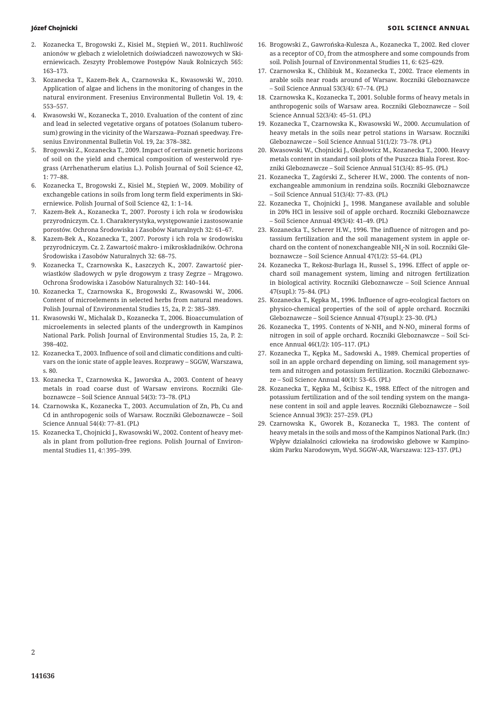- 2. Kozanecka T., Brogowski Z., Kisiel M., Stępień W., 2011. Ruchliwość anionów w glebach z wieloletnich doświadczeń nawozowych w Skierniewicach. Zeszyty Problemowe Postępów Nauk Rolniczych 565: 163–173.
- 3. Kozanecka T., Kazem-Bek A., Czarnowska K., Kwasowski W., 2010. Application of algae and lichens in the monitoring of changes in the natural environment. Fresenius Environmental Bulletin Vol. 19, 4: 553–557.
- 4. Kwasowski W., Kozanecka T., 2010. Evaluation of the content of zinc and lead in selected vegetative organs of potatoes (Solanum tuberosum) growing in the vicinity of the Warszawa–Poznań speedway. Fresenius Environmental Bulletin Vol. 19, 2a: 378–382.
- 5. Brogowski Z., Kozanecka T., 2009. Impact of certain genetic horizons of soil on the yield and chemical composition of westerwold ryegrass (Arrhenatherum elatius L.). Polish Journal of Soil Science 42, 1: 77–88.
- 6. Kozanecka T., Brogowski Z., Kisiel M., Stępień W., 2009. Mobility of exchangeble cations in soils from long term field experiments in Skierniewice. Polish Journal of Soil Science 42, 1: 1–14.
- 7. Kazem-Bek A., Kozanecka T., 2007. Porosty i ich rola w środowisku przyrodniczym. Cz. 1. Charakterystyka, występowanie i zastosowanie porostów. Ochrona Środowiska i Zasobów Naturalnych 32: 61–67.
- 8. Kazem-Bek A., Kozanecka T., 2007. Porosty i ich rola w środowisku przyrodniczym. Cz. 2. Zawartość makro- i mikroskładników. Ochrona Środowiska i Zasobów Naturalnych 32: 68–75.
- 9. Kozanecka T., Czarnowska K., Łaszczych K., 2007. Zawartość pierwiastków śladowych w pyle drogowym z trasy Zegrze – Mrągowo. Ochrona Środowiska i Zasobów Naturalnych 32: 140–144.
- 10. Kozanecka T., Czarnowska K., Brogowski Z., Kwasowski W., 2006. Content of microelements in selected herbs from natural meadows. Polish Journal of Environmental Studies 15, 2a, P. 2: 385–389.
- 11. Kwasowski W., Michalak D., Kozanecka T., 2006. Bioaccumulation of microelements in selected plants of the undergrowth in Kampinos National Park. Polish Journal of Environmental Studies 15, 2a, P. 2: 398–402.
- 12. Kozanecka T., 2003. Influence of soil and climatic conditions and cultivars on the ionic state of apple leaves. Rozprawy – SGGW, Warszawa, s. 80.
- 13. Kozanecka T., Czarnowska K., Jaworska A., 2003. Content of heavy metals in road coarse dust of Warsaw environs. Roczniki Gleboznawcze – Soil Science Annual 54(3): 73–78. (PL)
- 14. Czarnowska K., Kozanecka T., 2003. Accumulation of Zn, Pb, Cu and Cd in anthropogenic soils of Warsaw. Roczniki Gleboznawcze – Soil Science Annual 54(4): 77–81. (PL)
- 15. Kozanecka T., Chojnicki J., Kwasowski W., 2002. Content of heavy metals in plant from pollution-free regions. Polish Journal of Environmental Studies 11, 4:1395-399.
- 16. Brogowski Z., Gawrońska-Kulesza A., Kozanecka T., 2002. Red clover as a receptor of  $\mathrm{CO}_2$  from the atmosphere and some compounds from soil. Polish Journal of Environmental Studies 11, 6: 625–629.
- 17. Czarnowska K., Chlibiuk M., Kozanecka T., 2002. Trace elements in arable soils near roads around of Warsaw. Roczniki Gleboznawcze – Soil Science Annual 53(3/4): 67–74. (PL)
- 18. Czarnowska K., Kozanecka T., 2001. Soluble forms of heavy metals in anthropogenic soils of Warsaw area. Roczniki Gleboznawcze – Soil Science Annual 52(3/4): 45–51. (PL)
- 19. Kozanecka T., Czarnowska K., Kwasowski W., 2000. Accumulation of heavy metals in the soils near petrol stations in Warsaw. Roczniki Gleboznawcze – Soil Science Annual 51(1/2): 73–78. (PL)
- 20. Kwasowski W., Chojnicki J., Okołowicz M., Kozanecka T., 2000. Heavy metals content in standard soil plots of the Puszcza Biała Forest. Roczniki Gleboznawcze – Soil Science Annual 51(3/4): 85–95. (PL)
- 21. Kozanecka T., Zagórski Z., Scherer H.W., 2000. The contents of nonexchangeable ammonium in rendzina soils. Roczniki Gleboznawcze – Soil Science Annual 51(3/4): 77–83. (PL)
- 22. Kozanecka T., Chojnicki J., 1998. Manganese available and soluble in 20% HCl in lessive soil of apple orchard. Roczniki Gleboznawcze – Soil Science Annual 49(3/4): 41–49. (PL)
- 23. Kozanecka T., Scherer H.W., 1996. The influence of nitrogen and potassium fertilization and the soil management system in apple orchard on the content of nonexchangeable NH $_{\textrm{\tiny{4}}}$ -N in soil. Roczniki Gleboznawcze – Soil Science Annual 47(1/2): 55–64. (PL)
- 24. Kozanecka T., Rekosz-Burlaga H., Russel S., 1996. Effect of apple orchard soil management system, liming and nitrogen fertilization in biological activity. Roczniki Gleboznawcze – Soil Science Annual 47(supl.): 75–84. (PL)
- 25. Kozanecka T., Kępka M., 1996. Influence of agro-ecological factors on physico-chemical properties of the soil of apple orchard. Roczniki Gleboznawcze – Soil Science Annual 47(supl.): 23–30. (PL)
- 26. Kozanecka T., 1995. Contents of N-NH $_{\rm 4}$  and N-NO $_{\rm 3}$  mineral forms of nitrogen in soil of apple orchard. Roczniki Gleboznawcze – Soil Science Annual 46(1/2): 105–117. (PL)
- 27. Kozanecka T., Kępka М., Sadowski A., 1989. Chemical properties of soil in an apple orchard depending on liming, soil management system and nitrogen and potassium fertilization. Roczniki Gleboznawcze – Soil Science Annual 40(1): 53–65. (PL)
- 28. Kozanecka T., Kępka M., Ścibisz K., 1988. Effect of the nitrogen and potassium fertilization and of the soil tending system on the manganese content in soil and apple leaves. Roczniki Gleboznawcze – Soil Science Annual 39(3): 257–259. (PL)
- 29. Czarnowska K., Gworek B., Kozanecka T., 1983. The content of heavy metals in the soils and moss of the Kampinos National Park. (In:) Wpływ działalności człowieka na środowisko glebowe w Kampinoskim Parku Narodowym, Wyd. SGGW-AR, Warszawa: 123–137. (PL)